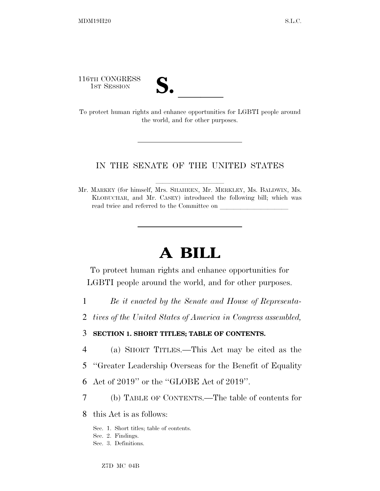116TH CONGRESS

| ∼.   |  |
|------|--|
| LJ 0 |  |

116TH CONGRESS<br>
1ST SESSION<br>
To protect human rights and enhance opportunities for LGBTI people around the world, and for other purposes.

# IN THE SENATE OF THE UNITED STATES

Mr. MARKEY (for himself, Mrs. SHAHEEN, Mr. MERKLEY, Ms. BALDWIN, Ms. KLOBUCHAR, and Mr. CASEY) introduced the following bill; which was read twice and referred to the Committee on

# **A BILL**

To protect human rights and enhance opportunities for LGBTI people around the world, and for other purposes.

- 1 *Be it enacted by the Senate and House of Representa-*
- 2 *tives of the United States of America in Congress assembled,*

# 3 **SECTION 1. SHORT TITLES; TABLE OF CONTENTS.**

- 4 (a) SHORT TITLES.—This Act may be cited as the
- 5 ''Greater Leadership Overseas for the Benefit of Equality
- 6 Act of 2019'' or the ''GLOBE Act of 2019''.
- 7 (b) TABLE OF CONTENTS.—The table of contents for

8 this Act is as follows:

- Sec. 1. Short titles; table of contents.
- Sec. 2. Findings.
- Sec. 3. Definitions.

Z7D MC 04B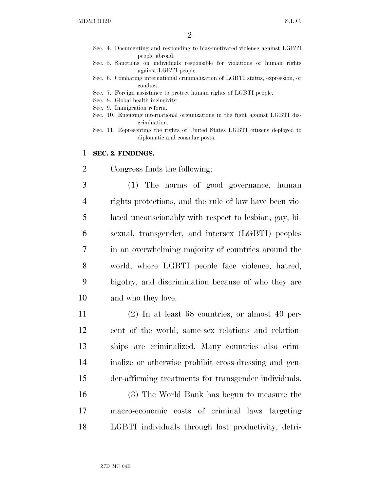- Sec. 4. Documenting and responding to bias-motivated violence against LGBTI people abroad.
- Sec. 5. Sanctions on individuals responsible for violations of human rights against LGBTI people.
- Sec. 6. Combating international criminalization of LGBTI status, expression, or conduct.
- Sec. 7. Foreign assistance to protect human rights of LGBTI people.
- Sec. 8. Global health inclusivity.
- Sec. 9. Immigration reform.
- Sec. 10. Engaging international organizations in the fight against LGBTI discrimination.
- Sec. 11. Representing the rights of United States LGBTI citizens deployed to diplomatic and consular posts.

## 1 **SEC. 2. FINDINGS.**

2 Congress finds the following:

 (1) The norms of good governance, human rights protections, and the rule of law have been vio- lated unconscionably with respect to lesbian, gay, bi- sexual, transgender, and intersex (LGBTI) peoples in an overwhelming majority of countries around the world, where LGBTI people face violence, hatred, bigotry, and discrimination because of who they are and who they love.

 (2) In at least 68 countries, or almost 40 per- cent of the world, same-sex relations and relation- ships are criminalized. Many countries also crim- inalize or otherwise prohibit cross-dressing and gen-der-affirming treatments for transgender individuals.

16 (3) The World Bank has begun to measure the 17 macro-economic costs of criminal laws targeting 18 LGBTI individuals through lost productivity, detri-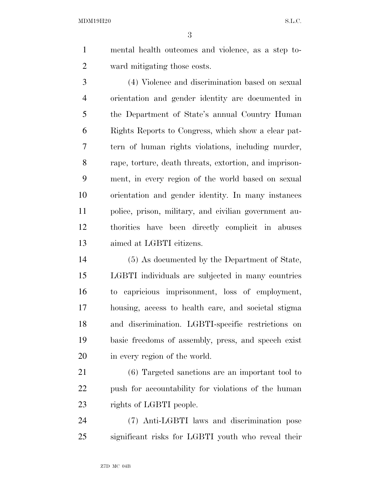mental health outcomes and violence, as a step to-ward mitigating those costs.

 (4) Violence and discrimination based on sexual orientation and gender identity are documented in the Department of State's annual Country Human Rights Reports to Congress, which show a clear pat- tern of human rights violations, including murder, rape, torture, death threats, extortion, and imprison- ment, in every region of the world based on sexual orientation and gender identity. In many instances police, prison, military, and civilian government au- thorities have been directly complicit in abuses aimed at LGBTI citizens.

 (5) As documented by the Department of State, LGBTI individuals are subjected in many countries to capricious imprisonment, loss of employment, housing, access to health care, and societal stigma and discrimination. LGBTI-specific restrictions on basic freedoms of assembly, press, and speech exist in every region of the world.

 (6) Targeted sanctions are an important tool to push for accountability for violations of the human 23 rights of LGBTI people.

 (7) Anti-LGBTI laws and discrimination pose significant risks for LGBTI youth who reveal their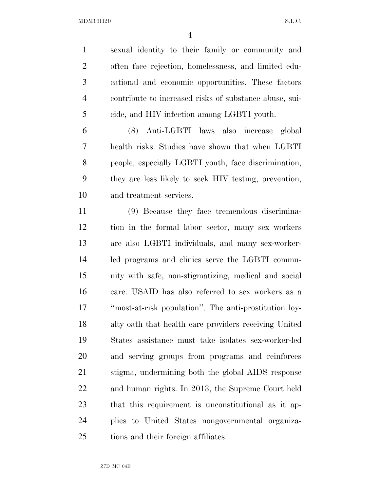sexual identity to their family or community and often face rejection, homelessness, and limited edu- cational and economic opportunities. These factors contribute to increased risks of substance abuse, sui-cide, and HIV infection among LGBTI youth.

 (8) Anti-LGBTI laws also increase global health risks. Studies have shown that when LGBTI people, especially LGBTI youth, face discrimination, they are less likely to seek HIV testing, prevention, and treatment services.

 (9) Because they face tremendous discrimina- tion in the formal labor sector, many sex workers are also LGBTI individuals, and many sex-worker- led programs and clinics serve the LGBTI commu- nity with safe, non-stigmatizing, medical and social care. USAID has also referred to sex workers as a ''most-at-risk population''. The anti-prostitution loy- alty oath that health care providers receiving United States assistance must take isolates sex-worker-led and serving groups from programs and reinforces stigma, undermining both the global AIDS response and human rights. In 2013, the Supreme Court held that this requirement is unconstitutional as it ap- plies to United States nongovernmental organiza-tions and their foreign affiliates.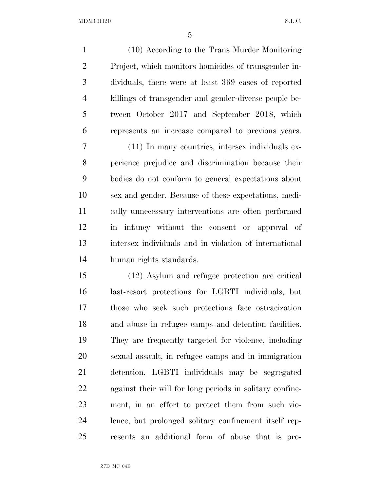(10) According to the Trans Murder Monitoring Project, which monitors homicides of transgender in- dividuals, there were at least 369 cases of reported killings of transgender and gender-diverse people be- tween October 2017 and September 2018, which represents an increase compared to previous years.

 (11) In many countries, intersex individuals ex- perience prejudice and discrimination because their bodies do not conform to general expectations about sex and gender. Because of these expectations, medi- cally unnecessary interventions are often performed in infancy without the consent or approval of intersex individuals and in violation of international human rights standards.

 (12) Asylum and refugee protection are critical last-resort protections for LGBTI individuals, but those who seek such protections face ostracization and abuse in refugee camps and detention facilities. They are frequently targeted for violence, including sexual assault, in refugee camps and in immigration detention. LGBTI individuals may be segregated against their will for long periods in solitary confine- ment, in an effort to protect them from such vio- lence, but prolonged solitary confinement itself rep-resents an additional form of abuse that is pro-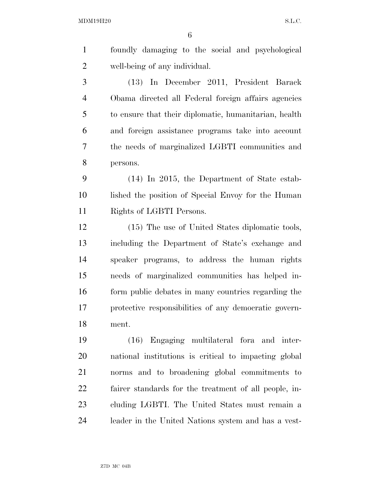|   | foundly damaging to the social and psychological      |
|---|-------------------------------------------------------|
| 2 | well-being of any individual.                         |
| 3 | (13) In December 2011, President Barack               |
| 4 | Obama directed all Federal foreign affairs agencies   |
| 5 | to ensure that their diplomatic, humanitarian, health |
| 6 | and foreign assistance programs take into account     |
|   | the needs of marginalized LGBTI communities and       |

persons.

 (14) In 2015, the Department of State estab- lished the position of Special Envoy for the Human Rights of LGBTI Persons.

 (15) The use of United States diplomatic tools, including the Department of State's exchange and speaker programs, to address the human rights needs of marginalized communities has helped in- form public debates in many countries regarding the protective responsibilities of any democratic govern-ment.

 (16) Engaging multilateral fora and inter- national institutions is critical to impacting global norms and to broadening global commitments to fairer standards for the treatment of all people, in- cluding LGBTI. The United States must remain a leader in the United Nations system and has a vest-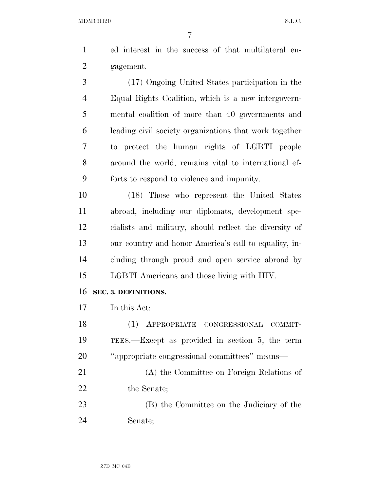ed interest in the success of that multilateral en-gagement.

 (17) Ongoing United States participation in the Equal Rights Coalition, which is a new intergovern- mental coalition of more than 40 governments and leading civil society organizations that work together to protect the human rights of LGBTI people around the world, remains vital to international ef-forts to respond to violence and impunity.

 (18) Those who represent the United States abroad, including our diplomats, development spe- cialists and military, should reflect the diversity of our country and honor America's call to equality, in- cluding through proud and open service abroad by LGBTI Americans and those living with HIV.

#### **SEC. 3. DEFINITIONS.**

In this Act:

 (1) APPROPRIATE CONGRESSIONAL COMMIT- TEES.—Except as provided in section 5, the term ''appropriate congressional committees'' means—

 (A) the Committee on Foreign Relations of the Senate;

 (B) the Committee on the Judiciary of the Senate;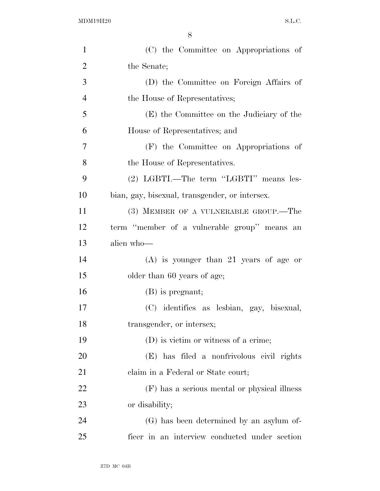| $\mathbf{1}$   | (C) the Committee on Appropriations of         |
|----------------|------------------------------------------------|
| $\overline{2}$ | the Senate;                                    |
| 3              | (D) the Committee on Foreign Affairs of        |
| $\overline{4}$ | the House of Representatives;                  |
| 5              | (E) the Committee on the Judiciary of the      |
| 6              | House of Representatives; and                  |
| $\overline{7}$ | (F) the Committee on Appropriations of         |
| 8              | the House of Representatives.                  |
| 9              | (2) LGBTI.—The term "LGBTI" means les-         |
| 10             | bian, gay, bisexual, transgender, or intersex. |
| 11             | (3) MEMBER OF A VULNERABLE GROUP.—The          |
| 12             | term "member of a vulnerable group" means an   |
| 13             | alien who-                                     |
| 14             | $(A)$ is younger than 21 years of age or       |
| 15             | older than 60 years of age;                    |
| 16             | (B) is pregnant;                               |
| 17             | (C) identifies as lesbian, gay, bisexual,      |
| 18             | transgender, or intersex;                      |
| 19             | (D) is victim or witness of a crime;           |
| 20             | (E) has filed a nonfrivolous civil rights      |
| 21             | claim in a Federal or State court;             |
| 22             | (F) has a serious mental or physical illness   |
| 23             | or disability;                                 |
| 24             | (G) has been determined by an asylum of-       |
| 25             | ficer in an interview conducted under section  |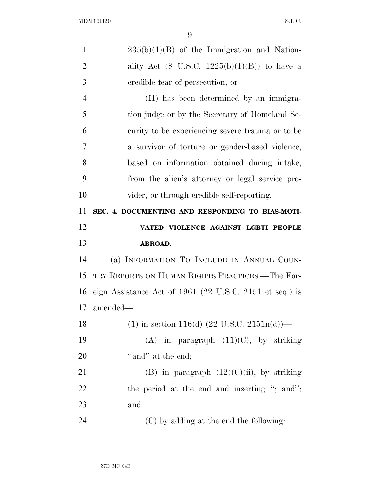| $\mathbf{1}$         | $235(b)(1)(B)$ of the Immigration and Nation-             |
|----------------------|-----------------------------------------------------------|
| $\overline{2}$       | ality Act (8 U.S.C. $1225(b)(1)(B)$ ) to have a           |
| 3                    | credible fear of persecution; or                          |
| $\overline{4}$       | (H) has been determined by an immigra-                    |
| 5                    | tion judge or by the Secretary of Homeland Se-            |
| 6                    | curity to be experiencing severe trauma or to be          |
| 7                    | a survivor of torture or gender-based violence,           |
| 8                    | based on information obtained during intake,              |
| 9                    | from the alien's attorney or legal service pro-           |
| 10                   | vider, or through credible self-reporting.                |
| 11                   | SEC. 4. DOCUMENTING AND RESPONDING TO BIAS-MOTI-          |
| 12                   | VATED VIOLENCE AGAINST LGBTI PEOPLE                       |
|                      |                                                           |
|                      | ABROAD.                                                   |
|                      | (a) INFORMATION TO INCLUDE IN ANNUAL COUN-                |
|                      | TRY REPORTS ON HUMAN RIGHTS PRACTICES.—The For-           |
| 13<br>14<br>15<br>16 | eign Assistance Act of $1961$ (22 U.S.C. 2151 et seq.) is |
| 17                   | amended—                                                  |
| 18                   | (1) in section 116(d) $(22 \text{ U.S.C. } 2151n(d))$ —   |
|                      | (A) in paragraph $(11)(C)$ , by striking                  |
| 19<br>20             | "and" at the end;                                         |
| 21                   | (B) in paragraph $(12)(C)(ii)$ , by striking              |
| 22                   | the period at the end and inserting "; and";              |
| 23                   | and                                                       |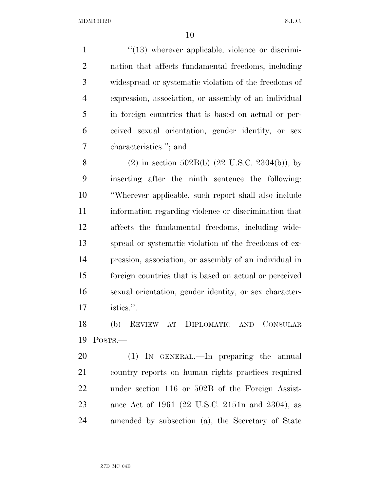$\frac{1}{2}$  (13) wherever applicable, violence or discrimi- nation that affects fundamental freedoms, including widespread or systematic violation of the freedoms of expression, association, or assembly of an individual in foreign countries that is based on actual or per- ceived sexual orientation, gender identity, or sex characteristics.''; and

8 (2) in section 502B(b)  $(22 \text{ U.S.C. } 2304(b))$ , by inserting after the ninth sentence the following: ''Wherever applicable, such report shall also include information regarding violence or discrimination that affects the fundamental freedoms, including wide- spread or systematic violation of the freedoms of ex- pression, association, or assembly of an individual in foreign countries that is based on actual or perceived sexual orientation, gender identity, or sex character-istics.''.

 (b) REVIEW AT DIPLOMATIC AND CONSULAR POSTS.—

 (1) IN GENERAL.—In preparing the annual country reports on human rights practices required under section 116 or 502B of the Foreign Assist- ance Act of 1961 (22 U.S.C. 2151n and 2304), as amended by subsection (a), the Secretary of State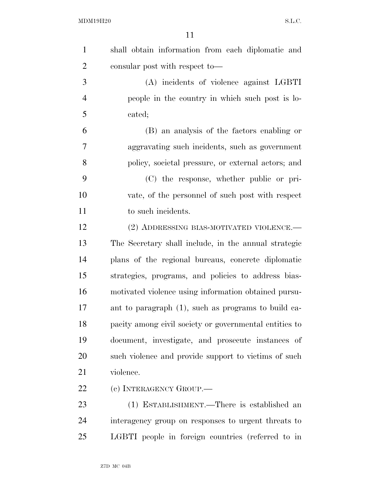| $\mathbf{1}$   | shall obtain information from each diplomatic and      |
|----------------|--------------------------------------------------------|
| $\overline{2}$ | consular post with respect to—                         |
| 3              | (A) incidents of violence against LGBTI                |
| $\overline{4}$ | people in the country in which such post is lo-        |
| 5              | cated;                                                 |
| 6              | (B) an analysis of the factors enabling or             |
| 7              | aggravating such incidents, such as government         |
| 8              | policy, societal pressure, or external actors; and     |
| 9              | (C) the response, whether public or pri-               |
| 10             | vate, of the personnel of such post with respect       |
| 11             | to such incidents.                                     |
| 12             | (2) ADDRESSING BIAS-MOTIVATED VIOLENCE.—               |
| 13             | The Secretary shall include, in the annual strategic   |
| 14             | plans of the regional bureaus, concrete diplomatic     |
| 15             | strategies, programs, and policies to address bias-    |
| 16             | motivated violence using information obtained pursu-   |
| 17             | ant to paragraph (1), such as programs to build ca-    |
| 18             | pacity among civil society or governmental entities to |
| 19             | document, investigate, and prosecute instances of      |
| <b>20</b>      | such violence and provide support to victims of such   |
| 21             | violence.                                              |
| 22             | (c) INTERAGENCY GROUP.—                                |
| 23             | (1) ESTABLISHMENT.—There is established an             |
| 24             | interagency group on responses to urgent threats to    |
| 25             | LGBTI people in foreign countries (referred to in      |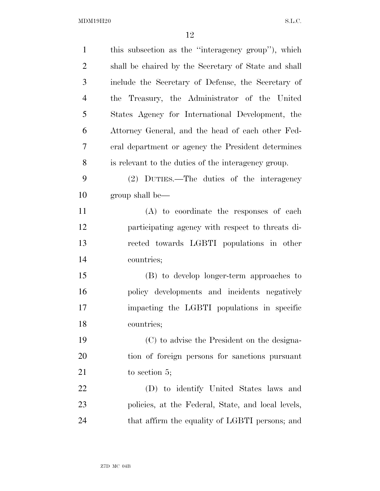| $\mathbf{1}$   | this subsection as the "interagency group"), which   |
|----------------|------------------------------------------------------|
| $\overline{c}$ | shall be chaired by the Secretary of State and shall |
| 3              | include the Secretary of Defense, the Secretary of   |
| $\overline{4}$ | the Treasury, the Administrator of the United        |
| 5              | States Agency for International Development, the     |
| 6              | Attorney General, and the head of each other Fed-    |
| 7              | eral department or agency the President determines   |
| 8              | is relevant to the duties of the interagency group.  |
| 9              | (2) DUTIES.—The duties of the interagency            |
| 10             | group shall be—                                      |
| 11             | (A) to coordinate the responses of each              |
| 12             | participating agency with respect to threats di-     |
| 13             | rected towards LGBTI populations in other            |
| 14             | countries;                                           |
| 15             | (B) to develop longer-term approaches to             |
| 16             | policy developments and incidents negatively         |
| 17             | impacting the LGBTI populations in specific          |
| 18             | countries;                                           |
| 19             | (C) to advise the President on the designa-          |
| <b>20</b>      | tion of foreign persons for sanctions pursuant       |
| 21             | to section $5$ ;                                     |
| 22             | (D) to identify United States laws and               |
| 23             | policies, at the Federal, State, and local levels,   |
| 24             | that affirm the equality of LGBTI persons; and       |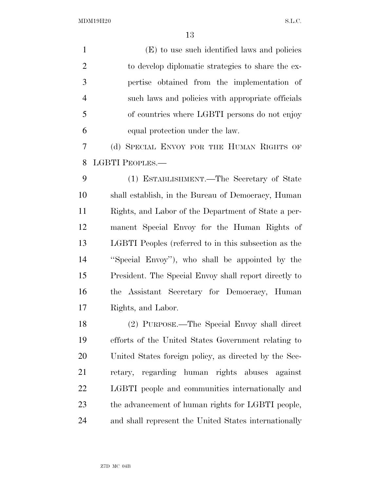| (E) to use such identified laws and policies          |
|-------------------------------------------------------|
| to develop diplomatic strategies to share the ex-     |
| pertise obtained from the implementation of           |
| such laws and policies with appropriate officials     |
| of countries where LGBTI persons do not enjoy         |
| equal protection under the law.                       |
| (d) SPECIAL ENVOY FOR THE HUMAN RIGHTS OF             |
| LGBTI PEOPLES.-                                       |
| (1) ESTABLISHMENT.—The Secretary of State             |
| shall establish, in the Bureau of Democracy, Human    |
| Rights, and Labor of the Department of State a per-   |
| manent Special Envoy for the Human Rights of          |
| LGBTI Peoples (referred to in this subsection as the  |
| "Special Envoy"), who shall be appointed by the       |
| President. The Special Envoy shall report directly to |
| the Assistant Secretary for Democracy, Human          |
| Rights, and Labor.                                    |
| (2) PURPOSE.—The Special Envoy shall direct           |
| efforts of the United States Government relating to   |
| United States foreign policy, as directed by the Sec- |
| retary, regarding human rights abuses against         |
| LGBTI people and communities internationally and      |
| the advancement of human rights for LGBTI people,     |
| and shall represent the United States internationally |
|                                                       |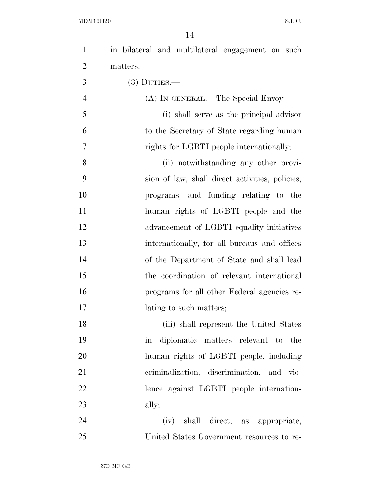| $\mathbf{1}$   | in bilateral and multilateral engagement on such    |
|----------------|-----------------------------------------------------|
| $\overline{2}$ | matters.                                            |
| 3              | $(3)$ DUTIES.—                                      |
| $\overline{4}$ | (A) IN GENERAL.—The Special Envoy—                  |
| 5              | (i) shall serve as the principal advisor            |
| 6              | to the Secretary of State regarding human           |
| 7              | rights for LGBTI people internationally;            |
| 8              | (ii) notwithstanding any other provi-               |
| 9              | sion of law, shall direct activities, policies,     |
| 10             | programs, and funding relating to the               |
| 11             | human rights of LGBTI people and the                |
| 12             | advancement of LGBTI equality initiatives           |
| 13             | internationally, for all bureaus and offices        |
| 14             | of the Department of State and shall lead           |
| 15             | the coordination of relevant international          |
| 16             | programs for all other Federal agencies re-         |
| 17             | lating to such matters;                             |
| 18             | (iii) shall represent the United States             |
| 19             | diplomatic matters relevant to the<br>$\mathbf{in}$ |
| 20             | human rights of LGBTI people, including             |
| 21             | criminalization, discrimination, and vio-           |
| 22             | lence against LGBTI people internation-             |
| 23             | ally;                                               |
| 24             | (iv) shall direct, as appropriate,                  |
| 25             | United States Government resources to re-           |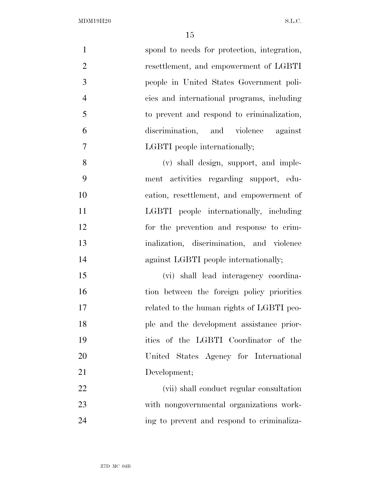| $\mathbf{1}$   | spond to needs for protection, integration, |
|----------------|---------------------------------------------|
| $\overline{2}$ | resettlement, and empowerment of LGBTI      |
| 3              | people in United States Government poli-    |
| $\overline{4}$ | cies and international programs, including  |
| 5              | to prevent and respond to criminalization,  |
| 6              | discrimination, and violence against        |
| 7              | LGBTI people internationally;               |
| 8              | (v) shall design, support, and imple-       |
| 9              | ment activities regarding support, edu-     |
| 10             | cation, resettlement, and empowerment of    |
| 11             | LGBTI people internationally, including     |
| 12             | for the prevention and response to crim-    |
| 13             | inalization, discrimination, and violence   |
| 14             | against LGBTI people internationally;       |
| 15             | (vi) shall lead interagency coordina-       |
| 16             | tion between the foreign policy priorities  |
| 17             | related to the human rights of LGBTI peo-   |
| 18             | ple and the development assistance prior-   |
| 19             | ities of the LGBTI Coordinator of the       |
| 20             | United States Agency for International      |
| 21             | Development;                                |
| 22             | (vii) shall conduct regular consultation    |
| 23             | with nongovernmental organizations work-    |
| 24             | ing to prevent and respond to criminaliza-  |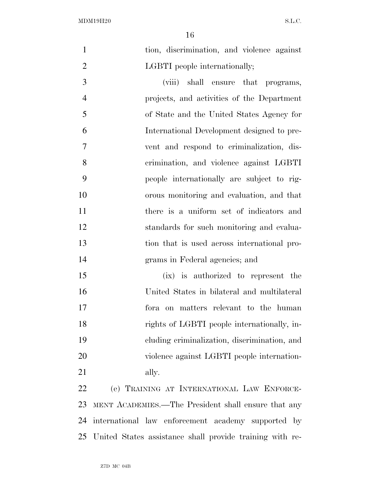|                | -16                                          |
|----------------|----------------------------------------------|
| $\mathbf{1}$   | tion, discrimination, and violence against   |
| $\overline{2}$ | LGBTI people internationally;                |
| 3              | (viii) shall ensure that programs,           |
| $\overline{4}$ | projects, and activities of the Department   |
| 5              | of State and the United States Agency for    |
| 6              | International Development designed to pre-   |
| 7              | vent and respond to criminalization, dis-    |
| 8              | crimination, and violence against LGBTI      |
| 9              | people internationally are subject to rig-   |
| 10             | orous monitoring and evaluation, and that    |
| 11             | there is a uniform set of indicators and     |
| 12             | standards for such monitoring and evalua-    |
| 13             | tion that is used across international pro-  |
| 14             | grams in Federal agencies; and               |
| 15             | (ix) is authorized to represent the          |
| 16             | United States in bilateral and multilateral  |
| 17             | for aon matters relevant to the human        |
| 18             | rights of LGBTI people internationally, in-  |
| 19             | cluding criminalization, discrimination, and |
| 20             | violence against LGBTI people internation-   |
| 21             | ally.                                        |

 (e) TRAINING AT INTERNATIONAL LAW ENFORCE- MENT ACADEMIES.—The President shall ensure that any international law enforcement academy supported by United States assistance shall provide training with re-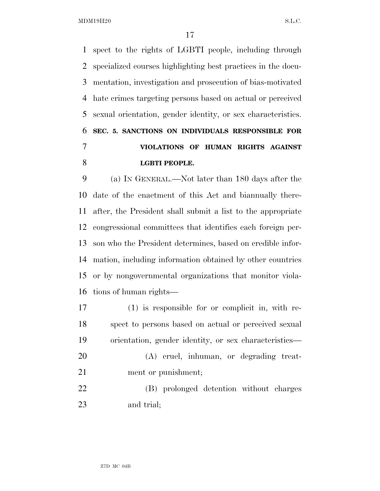spect to the rights of LGBTI people, including through specialized courses highlighting best practices in the docu- mentation, investigation and prosecution of bias-motivated hate crimes targeting persons based on actual or perceived sexual orientation, gender identity, or sex characteristics. **SEC. 5. SANCTIONS ON INDIVIDUALS RESPONSIBLE FOR VIOLATIONS OF HUMAN RIGHTS AGAINST LGBTI PEOPLE.** 

 (a) IN GENERAL.—Not later than 180 days after the date of the enactment of this Act and biannually there- after, the President shall submit a list to the appropriate congressional committees that identifies each foreign per- son who the President determines, based on credible infor- mation, including information obtained by other countries or by nongovernmental organizations that monitor viola-tions of human rights—

 (1) is responsible for or complicit in, with re- spect to persons based on actual or perceived sexual orientation, gender identity, or sex characteristics—

 (A) cruel, inhuman, or degrading treat-21 ment or punishment;

 (B) prolonged detention without charges and trial;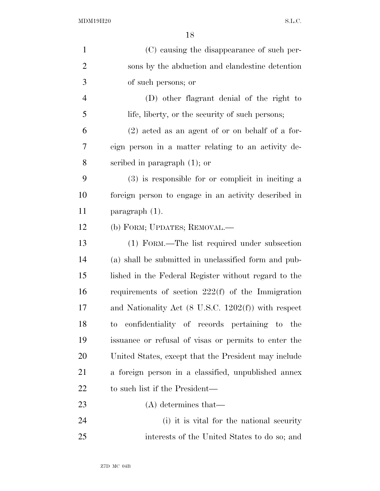| $\mathbf{1}$   | (C) causing the disappearance of such per-                     |
|----------------|----------------------------------------------------------------|
| $\overline{2}$ | sons by the abduction and clandestine detention                |
| 3              | of such persons; or                                            |
| $\overline{4}$ | (D) other flagrant denial of the right to                      |
| 5              | life, liberty, or the security of such persons;                |
| 6              | $(2)$ acted as an agent of or on behalf of a for-              |
| 7              | eign person in a matter relating to an activity de-            |
| 8              | scribed in paragraph $(1)$ ; or                                |
| 9              | $(3)$ is responsible for or complicit in inciting a            |
| 10             | foreign person to engage in an activity described in           |
| 11             | paragraph $(1)$ .                                              |
| 12             | (b) FORM; UPDATES; REMOVAL.—                                   |
| 13             | (1) FORM.—The list required under subsection                   |
| 14             | (a) shall be submitted in unclassified form and pub-           |
| 15             | lished in the Federal Register without regard to the           |
| 16             | requirements of section $222(f)$ of the Immigration            |
| 17             | and Nationality Act $(8 \text{ U.S.C. } 1202(f))$ with respect |
| 18             | confidentiality of records pertaining to the<br>to             |
| 19             | issuance or refusal of visas or permits to enter the           |
| 20             | United States, except that the President may include           |
| 21             | a foreign person in a classified, unpublished annex            |
| 22             | to such list if the President—                                 |
| 23             | $(A)$ determines that—                                         |
| 24             | (i) it is vital for the national security                      |
| 25             | interests of the United States to do so; and                   |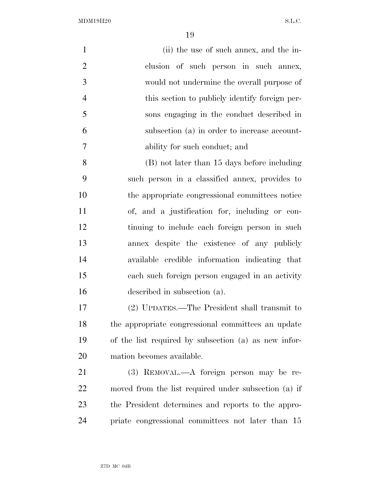| $\mathbf{1}$   | (ii) the use of such annex, and the in-              |
|----------------|------------------------------------------------------|
| $\overline{2}$ | clusion of such person in such annex,                |
| 3              | would not undermine the overall purpose of           |
| $\overline{4}$ | this section to publicly identify foreign per-       |
| 5              | sons engaging in the conduct described in            |
| 6              | subsection (a) in order to increase account-         |
| 7              | ability for such conduct; and                        |
| 8              | (B) not later than 15 days before including          |
| 9              | such person in a classified annex, provides to       |
| 10             | the appropriate congressional committees notice      |
| 11             | of, and a justification for, including or con-       |
| 12             | tinuing to include each foreign person in such       |
| 13             | annex despite the existence of any publicly          |
| 14             | available credible information indicating that       |
| 15             | each such foreign person engaged in an activity      |
| 16             | described in subsection (a).                         |
| 17             | (2) UPDATES.—The President shall transmit to         |
| 18             | the appropriate congressional committees an update   |
| 19             | of the list required by subsection (a) as new infor- |
| 20             | mation becomes available.                            |
| 21             | (3) REMOVAL.—A foreign person may be re-             |
| 22             | moved from the list required under subsection (a) if |
| 23             | the President determines and reports to the appro-   |
| 24             | priate congressional committees not later than 15    |
|                |                                                      |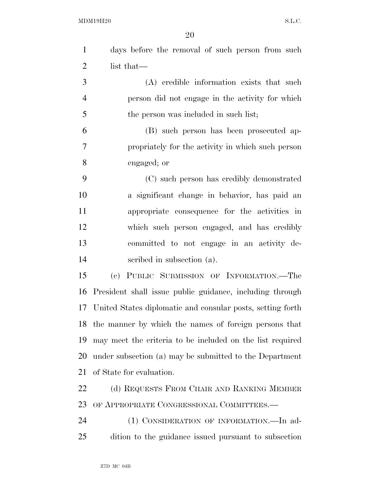|    | days before the removal of such person from such |
|----|--------------------------------------------------|
| 2  | list that—                                       |
| 3  | (A) credible information exists that such        |
|    | person did not engage in the activity for which  |
| -5 | the person was included in such list;            |
|    | (B) such person has been prosecuted ap-          |

 $\sigma$   $\qquad$   $\qquad$   $\qquad$   $\qquad$   $\qquad$   $\qquad$   $\qquad$   $\qquad$   $\qquad$   $\qquad$   $\qquad$   $\qquad$   $\qquad$   $\qquad$   $\qquad$   $\qquad$   $\qquad$   $\qquad$   $\qquad$   $\qquad$   $\qquad$   $\qquad$   $\qquad$   $\qquad$   $\qquad$   $\qquad$   $\qquad$   $\qquad$   $\qquad$   $\qquad$   $\qquad$   $\qquad$   $\qquad$   $\qquad$   $\qquad$   $\qquad$  propriately for the activity in which such person engaged; or

 (C) such person has credibly demonstrated a significant change in behavior, has paid an appropriate consequence for the activities in which such person engaged, and has credibly committed to not engage in an activity de-scribed in subsection (a).

 (c) PUBLIC SUBMISSION OF INFORMATION.—The President shall issue public guidance, including through United States diplomatic and consular posts, setting forth the manner by which the names of foreign persons that may meet the criteria to be included on the list required under subsection (a) may be submitted to the Department of State for evaluation.

22 (d) REQUESTS FROM CHAIR AND RANKING MEMBER OF APPROPRIATE CONGRESSIONAL COMMITTEES.—

24 (1) CONSIDERATION OF INFORMATION.—In ad-dition to the guidance issued pursuant to subsection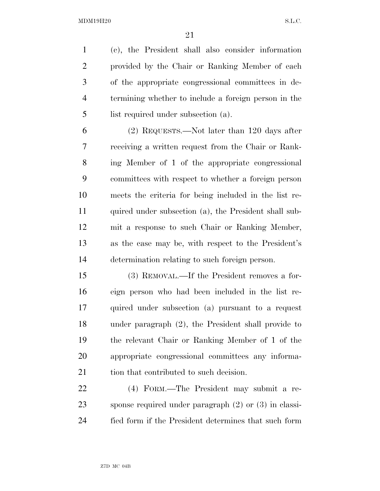(c), the President shall also consider information provided by the Chair or Ranking Member of each of the appropriate congressional committees in de- termining whether to include a foreign person in the list required under subsection (a).

 (2) REQUESTS.—Not later than 120 days after receiving a written request from the Chair or Rank- ing Member of 1 of the appropriate congressional committees with respect to whether a foreign person meets the criteria for being included in the list re- quired under subsection (a), the President shall sub- mit a response to such Chair or Ranking Member, as the case may be, with respect to the President's determination relating to such foreign person.

 (3) REMOVAL.—If the President removes a for- eign person who had been included in the list re- quired under subsection (a) pursuant to a request under paragraph (2), the President shall provide to the relevant Chair or Ranking Member of 1 of the appropriate congressional committees any informa-21 tion that contributed to such decision.

 (4) FORM.—The President may submit a re- sponse required under paragraph (2) or (3) in classi-fied form if the President determines that such form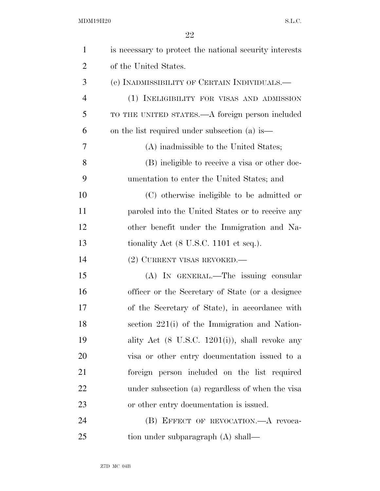| $\mathbf{1}$   | is necessary to protect the national security interests    |
|----------------|------------------------------------------------------------|
| $\overline{2}$ | of the United States.                                      |
| 3              | (e) INADMISSIBILITY OF CERTAIN INDIVIDUALS.—               |
| $\overline{4}$ | (1) INELIGIBILITY FOR VISAS AND ADMISSION                  |
| 5              | TO THE UNITED STATES.—A foreign person included            |
| 6              | on the list required under subsection (a) is—              |
| 7              | (A) inadmissible to the United States;                     |
| 8              | (B) ineligible to receive a visa or other doc-             |
| 9              | umentation to enter the United States; and                 |
| 10             | (C) otherwise ineligible to be admitted or                 |
| 11             | paroled into the United States or to receive any           |
| 12             | other benefit under the Immigration and Na-                |
| 13             | tionality Act $(8 \text{ U.S.C. } 1101 \text{ et seq.}).$  |
| 14             | (2) CURRENT VISAS REVOKED.—                                |
| 15             | (A) IN GENERAL.—The issuing consular                       |
| 16             | officer or the Secretary of State (or a designee)          |
| 17             | of the Secretary of State), in accordance with             |
| 18             | section 221(i) of the Immigration and Nation-              |
| 19             | ality Act $(8 \text{ U.S.C. } 1201(i))$ , shall revoke any |
| 20             | visa or other entry documentation issued to a              |
| 21             | foreign person included on the list required               |
| 22             | under subsection (a) regardless of when the visa           |
| 23             | or other entry documentation is issued.                    |
| 24             | (B) EFFECT OF REVOCATION. A revoca-                        |
| 25             | tion under subparagraph (A) shall—                         |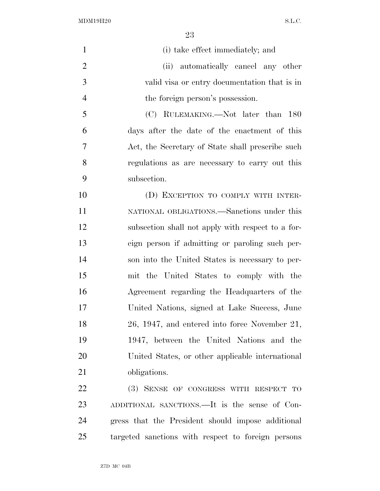| $\mathbf{1}$   | (i) take effect immediately; and                  |
|----------------|---------------------------------------------------|
| $\overline{2}$ | (ii) automatically cancel any other               |
| 3              | valid visa or entry documentation that is in      |
| $\overline{4}$ | the foreign person's possession.                  |
| 5              | (C) RULEMAKING.—Not later than 180                |
| 6              | days after the date of the enactment of this      |
| $\overline{7}$ | Act, the Secretary of State shall prescribe such  |
| 8              | regulations as are necessary to carry out this    |
| 9              | subsection.                                       |
| 10             | (D) EXCEPTION TO COMPLY WITH INTER-               |
| 11             | NATIONAL OBLIGATIONS.—Sanctions under this        |
| 12             | subsection shall not apply with respect to a for- |
| 13             | eign person if admitting or paroling such per-    |
| 14             | son into the United States is necessary to per-   |
| 15             | mit the United States to comply with the          |
| 16             | Agreement regarding the Headquarters of the       |
| 17             | United Nations, signed at Lake Success, June      |
| 18             | 26, 1947, and entered into force November 21,     |
| 19             | 1947, between the United Nations and the          |
| 20             | United States, or other applicable international  |
| 21             | obligations.                                      |
| 22             | (3) SENSE OF CONGRESS WITH RESPECT TO             |
| 23             | ADDITIONAL SANCTIONS.—It is the sense of Con-     |
| 24             | gress that the President should impose additional |

targeted sanctions with respect to foreign persons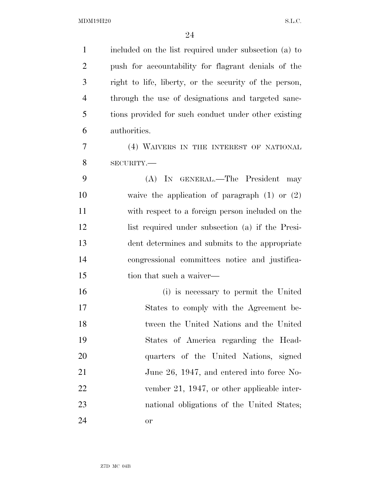| $\mathbf{1}$   | included on the list required under subsection (a) to  |
|----------------|--------------------------------------------------------|
| $\overline{2}$ | push for accountability for flagrant denials of the    |
| 3              | right to life, liberty, or the security of the person, |
| $\overline{4}$ | through the use of designations and targeted sanc-     |
| 5              | tions provided for such conduct under other existing   |
| 6              | authorities.                                           |
| $\tau$         | (4) WAIVERS IN THE INTEREST OF NATIONAL                |
| 8              | SECURITY.-                                             |
| 9              | (A) IN GENERAL.—The President<br>may                   |
| 10             | waive the application of paragraph $(1)$ or $(2)$      |
| 11             | with respect to a foreign person included on the       |
| 12             | list required under subsection (a) if the Presi-       |
| 13             | dent determines and submits to the appropriate         |
| 14             | congressional committees notice and justifica-         |
| 15             | tion that such a waiver—                               |
| 16             | (i) is necessary to permit the United                  |
| 17             | States to comply with the Agreement be-                |
| 18             | tween the United Nations and the United                |
| 19             | States of America regarding the Head-                  |
| 20             | quarters of the United Nations, signed                 |
| 21             | June 26, 1947, and entered into force No-              |
| 22             | vember 21, 1947, or other applicable inter-            |
| 23             | national obligations of the United States;             |
| 24             | or                                                     |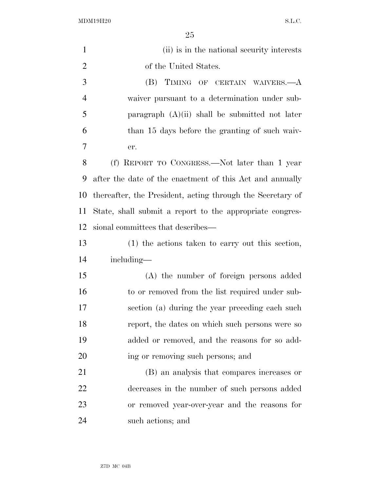| $\mathbf{1}$   | (ii) is in the national security interests                 |
|----------------|------------------------------------------------------------|
| $\overline{2}$ | of the United States.                                      |
| 3              | TIMING OF CERTAIN WAIVERS.—A<br>(B)                        |
| $\overline{4}$ | waiver pursuant to a determination under sub-              |
| 5              | paragraph $(A)(ii)$ shall be submitted not later           |
| 6              | than 15 days before the granting of such waiv-             |
| 7              | er.                                                        |
| 8              | (f) REPORT TO CONGRESS.—Not later than 1 year              |
| 9              | after the date of the enactment of this Act and annually   |
| 10             | thereafter, the President, acting through the Secretary of |
| 11             | State, shall submit a report to the appropriate congres-   |
| 12             | sional committees that describes—                          |
| 13             | (1) the actions taken to carry out this section,           |
| 14             | including—                                                 |
| 15             | (A) the number of foreign persons added                    |
| 16             | to or removed from the list required under sub-            |
| 17             | section (a) during the year preceding each such            |
| 18             | report, the dates on which such persons were so            |
| 19             | added or removed, and the reasons for so add-              |
| 20             | ing or removing such persons; and                          |
| 21             | (B) an analysis that compares increases or                 |
| 22             | decreases in the number of such persons added              |
| 23             | or removed year-over-year and the reasons for              |
| 24             | such actions; and                                          |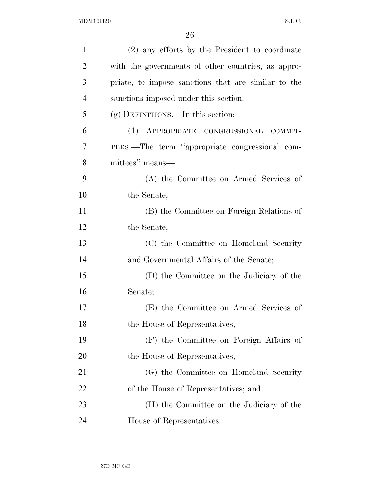| $\mathbf{1}$   | (2) any efforts by the President to coordinate      |
|----------------|-----------------------------------------------------|
| $\overline{2}$ | with the governments of other countries, as appro-  |
| 3              | priate, to impose sanctions that are similar to the |
| $\overline{4}$ | sanctions imposed under this section.               |
| 5              | $(g)$ DEFINITIONS.—In this section:                 |
| 6              | (1) APPROPRIATE CONGRESSIONAL COMMIT-               |
| 7              | TEES.—The term "appropriate congressional com-      |
| 8              | mittees" means—                                     |
| 9              | (A) the Committee on Armed Services of              |
| 10             | the Senate;                                         |
| 11             | (B) the Committee on Foreign Relations of           |
| 12             | the Senate;                                         |
| 13             | (C) the Committee on Homeland Security              |
| 14             | and Governmental Affairs of the Senate;             |
| 15             | (D) the Committee on the Judiciary of the           |
| 16             | Senate;                                             |
| 17             | (E) the Committee on Armed Services of              |
| 18             | the House of Representatives;                       |
| 19             | (F) the Committee on Foreign Affairs of             |
| 20             | the House of Representatives;                       |
| 21             | (G) the Committee on Homeland Security              |
| 22             | of the House of Representatives; and                |
| 23             | (H) the Committee on the Judiciary of the           |
| 24             | House of Representatives.                           |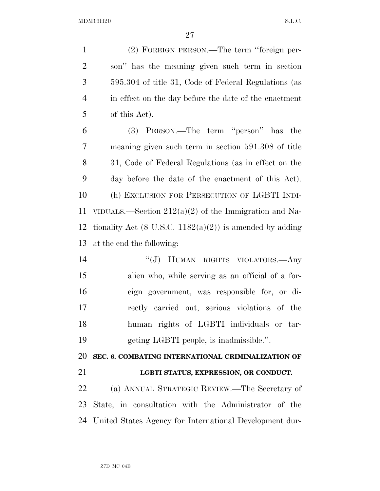(2) FOREIGN PERSON.—The term ''foreign per- son'' has the meaning given such term in section 595.304 of title 31, Code of Federal Regulations (as in effect on the day before the date of the enactment of this Act).

 (3) PERSON.—The term ''person'' has the meaning given such term in section 591.308 of title 31, Code of Federal Regulations (as in effect on the day before the date of the enactment of this Act). (h) EXCLUSION FOR PERSECUTION OF LGBTI INDI- VIDUALS.—Section 212(a)(2) of the Immigration and Na-12 tionality Act  $(8 \text{ U.S.C. } 1182(a)(2))$  is amended by adding at the end the following:

14 "(J) HUMAN RIGHTS VIOLATORS.—Any alien who, while serving as an official of a for- eign government, was responsible for, or di- rectly carried out, serious violations of the human rights of LGBTI individuals or tar-geting LGBTI people, is inadmissible.''.

**SEC. 6. COMBATING INTERNATIONAL CRIMINALIZATION OF** 

# **LGBTI STATUS, EXPRESSION, OR CONDUCT.**

 (a) ANNUAL STRATEGIC REVIEW.—The Secretary of State, in consultation with the Administrator of the United States Agency for International Development dur-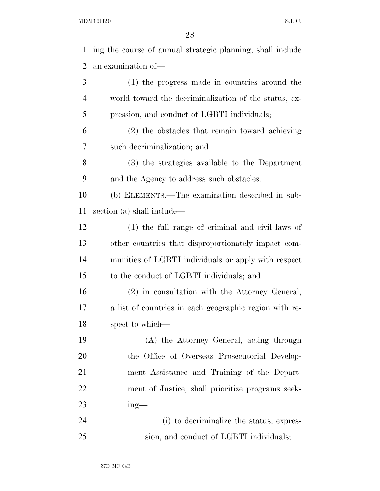$\Omega$ 

|    | 28                                                         |
|----|------------------------------------------------------------|
| 1  | ing the course of annual strategic planning, shall include |
| 2  | an examination of—                                         |
| 3  | (1) the progress made in countries around the              |
| 4  | world toward the decriminalization of the status, ex-      |
| 5  | pression, and conduct of LGBTI individuals;                |
| 6  | (2) the obstacles that remain toward achieving             |
| 7  | such decriminalization; and                                |
| 8  | (3) the strategies available to the Department             |
| 9  | and the Agency to address such obstacles.                  |
| 10 | (b) ELEMENTS.—The examination described in sub-            |
| 11 | section (a) shall include—                                 |
| 12 | (1) the full range of criminal and civil laws of           |
| 13 | other countries that disproportionately impact com-        |
| 14 | munities of LGBTI individuals or apply with respect        |
| 15 | to the conduct of LGBTI individuals; and                   |
| 16 | (2) in consultation with the Attorney General,             |
| 17 | a list of countries in each geographic region with re-     |
| 18 | spect to which—                                            |
| 19 | (A) the Attorney General, acting through                   |
| 20 | the Office of Overseas Prosecutorial Develop-              |
| 21 | ment Assistance and Training of the Depart-                |
| 22 | ment of Justice, shall prioritize programs seek-           |
| 23 | $ing$ —                                                    |
| 24 | (i) to decriminalize the status, expres-                   |

sion, and conduct of LGBTI individuals;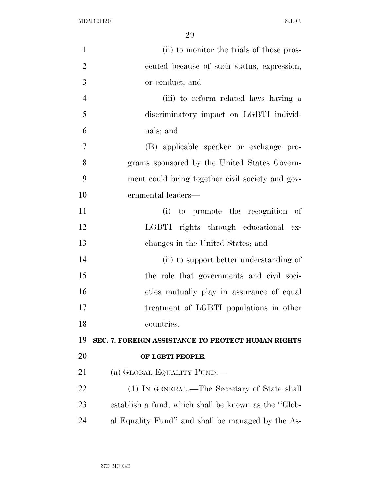| $\mathbf{1}$   | (ii) to monitor the trials of those pros-            |
|----------------|------------------------------------------------------|
| $\overline{2}$ | ecuted because of such status, expression,           |
| 3              | or conduct; and                                      |
| $\overline{4}$ | (iii) to reform related laws having a                |
| 5              | discriminatory impact on LGBTI individ-              |
| 6              | uals; and                                            |
| 7              | (B) applicable speaker or exchange pro-              |
| 8              | grams sponsored by the United States Govern-         |
| 9              | ment could bring together civil society and gov-     |
| 10             | ernmental leaders—                                   |
| 11             | (i) to promote the recognition of                    |
| 12             | LGBTI rights through educational ex-                 |
| 13             | changes in the United States; and                    |
| 14             | (ii) to support better understanding of              |
| 15             | the role that governments and civil soci-            |
| 16             | eties mutually play in assurance of equal            |
| 17             | treatment of LGBTI populations in other              |
| 18             | countries.                                           |
| 19             | SEC. 7. FOREIGN ASSISTANCE TO PROTECT HUMAN RIGHTS   |
| <b>20</b>      | OF LGBTI PEOPLE.                                     |
| 21             | (a) GLOBAL EQUALITY FUND.—                           |
| 22             | (1) IN GENERAL.—The Secretary of State shall         |
| 23             | establish a fund, which shall be known as the "Glob- |
| 24             | al Equality Fund" and shall be managed by the As-    |
|                |                                                      |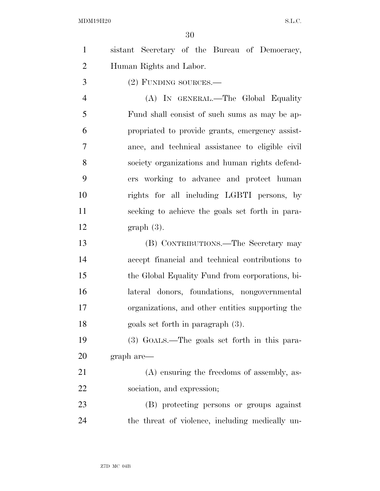| $\mathbf{1}$   | sistant Secretary of the Bureau of Democracy,    |
|----------------|--------------------------------------------------|
| $\overline{2}$ | Human Rights and Labor.                          |
| 3              | (2) FUNDING SOURCES.-                            |
| $\overline{4}$ | (A) IN GENERAL.—The Global Equality              |
| 5              | Fund shall consist of such sums as may be ap-    |
| 6              | propriated to provide grants, emergency assist-  |
| 7              | ance, and technical assistance to eligible civil |
| 8              | society organizations and human rights defend-   |
| 9              | ers working to advance and protect human         |
| 10             | rights for all including LGBTI persons, by       |
| 11             | seeking to achieve the goals set forth in para-  |
| 12             | $graph(3)$ .                                     |
| 13             | (B) CONTRIBUTIONS.—The Secretary may             |
| 14             | accept financial and technical contributions to  |
| 15             | the Global Equality Fund from corporations, bi-  |
| 16             | lateral donors, foundations, nongovernmental     |
| 17             | organizations, and other entities supporting the |
| 18             | goals set forth in paragraph (3).                |
| 19             | (3) GOALS.—The goals set forth in this para-     |
| <b>20</b>      | graph are—                                       |
| 21             | $(A)$ ensuring the freedoms of assembly, as-     |
| 22             | sociation, and expression;                       |
| 23             | (B) protecting persons or groups against         |
| 24             | the threat of violence, including medically un-  |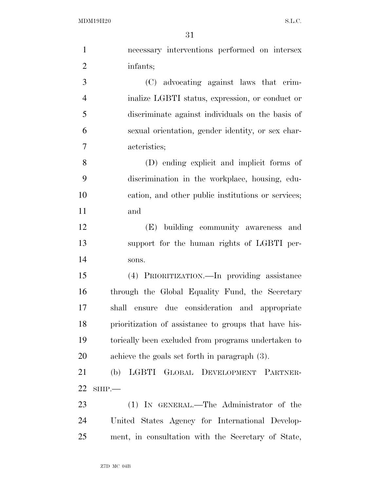| $\mathbf{1}$   | necessary interventions performed on intersex         |
|----------------|-------------------------------------------------------|
| $\overline{2}$ | infants;                                              |
| 3              | (C) advocating against laws that crim-                |
| $\overline{4}$ | inalize LGBTI status, expression, or conduct or       |
| 5              | discriminate against individuals on the basis of      |
| 6              | sexual orientation, gender identity, or sex char-     |
| 7              | acteristics;                                          |
| 8              | (D) ending explicit and implicit forms of             |
| 9              | discrimination in the workplace, housing, edu-        |
| 10             | cation, and other public institutions or services;    |
| 11             | and                                                   |
| 12             | (E) building community awareness and                  |
| 13             | support for the human rights of LGBTI per-            |
| 14             | sons.                                                 |
| 15             | (4) PRIORITIZATION.—In providing assistance           |
| 16             | through the Global Equality Fund, the Secretary       |
| 17             | shall ensure due consideration and appropriate        |
| 18             | prioritization of assistance to groups that have his- |
| 19             | torically been excluded from programs undertaken to   |
| 20             | achieve the goals set forth in paragraph $(3)$ .      |
| 21             | (b) LGBTI GLOBAL DEVELOPMENT PARTNER-                 |
| 22             | $SHIP$ .                                              |
| 23             | (1) IN GENERAL.—The Administrator of the              |
| 24             | United States Agency for International Develop-       |
| 25             | ment, in consultation with the Secretary of State,    |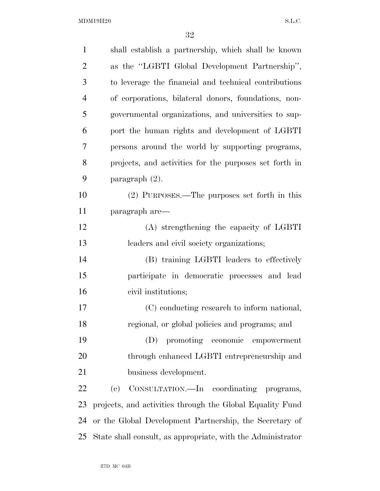| $\mathbf{1}$   | shall establish a partnership, which shall be known         |
|----------------|-------------------------------------------------------------|
| $\overline{2}$ | as the "LGBTI Global Development Partnership",              |
| 3              | to leverage the financial and technical contributions       |
| $\overline{4}$ | of corporations, bilateral donors, foundations, non-        |
| 5              | governmental organizations, and universities to sup-        |
| 6              | port the human rights and development of LGBTI              |
| 7              | persons around the world by supporting programs,            |
| 8              | projects, and activities for the purposes set forth in      |
| 9              | paragraph $(2)$ .                                           |
| 10             | (2) PURPOSES.—The purposes set forth in this                |
| 11             | paragraph are—                                              |
| 12             | (A) strengthening the capacity of LGBTI                     |
| 13             | leaders and civil society organizations;                    |
| 14             | (B) training LGBTI leaders to effectively                   |
| 15             | participate in democratic processes and lead                |
| 16             | civil institutions;                                         |
| 17             | (C) conducting research to inform national,                 |
| 18             | regional, or global policies and programs; and              |
| 19             | promoting economic<br>(D)<br>empowerment                    |
| 20             | through enhanced LGBTI entrepreneurship and                 |
| 21             | business development.                                       |
| 22             | CONSULTATION.—In coordinating programs,<br>(e)              |
| 23             | projects, and activities through the Global Equality Fund   |
| 24             | or the Global Development Partnership, the Secretary of     |
| 25             | State shall consult, as appropriate, with the Administrator |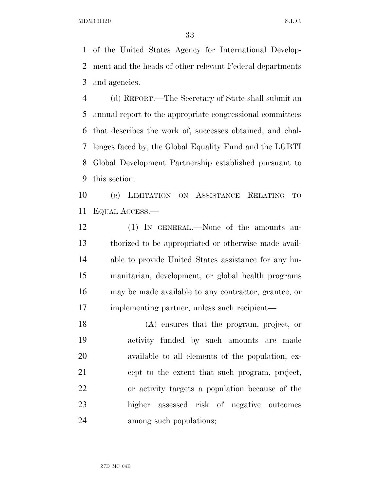of the United States Agency for International Develop- ment and the heads of other relevant Federal departments and agencies.

 (d) REPORT.—The Secretary of State shall submit an annual report to the appropriate congressional committees that describes the work of, successes obtained, and chal- lenges faced by, the Global Equality Fund and the LGBTI Global Development Partnership established pursuant to this section.

 (e) LIMITATION ON ASSISTANCE RELATING TO EQUAL ACCESS.—

 (1) IN GENERAL.—None of the amounts au- thorized to be appropriated or otherwise made avail- able to provide United States assistance for any hu- manitarian, development, or global health programs may be made available to any contractor, grantee, or implementing partner, unless such recipient—

 (A) ensures that the program, project, or activity funded by such amounts are made available to all elements of the population, ex- cept to the extent that such program, project, or activity targets a population because of the higher assessed risk of negative outcomes among such populations;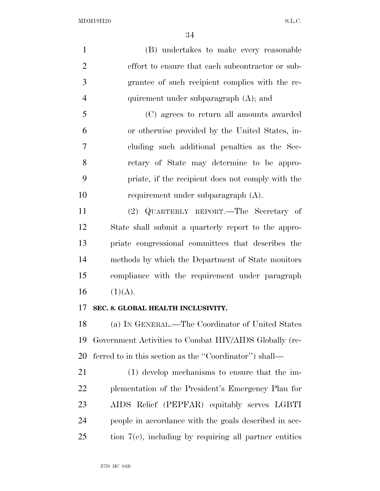(B) undertakes to make every reasonable effort to ensure that each subcontractor or sub- grantee of such recipient complies with the re- quirement under subparagraph (A); and (C) agrees to return all amounts awarded or otherwise provided by the United States, in- cluding such additional penalties as the Sec- retary of State may determine to be appro- priate, if the recipient does not comply with the requirement under subparagraph (A).

 (2) QUARTERLY REPORT.—The Secretary of State shall submit a quarterly report to the appro- priate congressional committees that describes the methods by which the Department of State monitors compliance with the requirement under paragraph  $(1)(A)$ .

## **SEC. 8. GLOBAL HEALTH INCLUSIVITY.**

 (a) IN GENERAL.—The Coordinator of United States Government Activities to Combat HIV/AIDS Globally (re-ferred to in this section as the ''Coordinator'') shall—

 (1) develop mechanisms to ensure that the im- plementation of the President's Emergency Plan for AIDS Relief (PEPFAR) equitably serves LGBTI people in accordance with the goals described in sec-tion 7(e), including by requiring all partner entities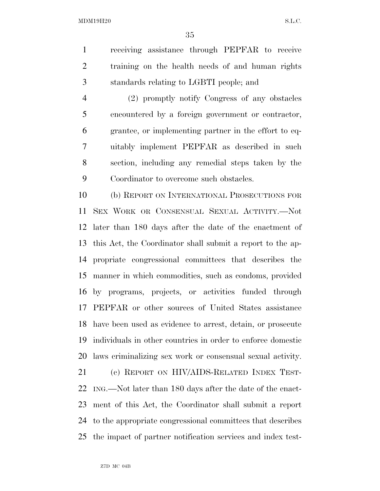receiving assistance through PEPFAR to receive training on the health needs of and human rights standards relating to LGBTI people; and

 (2) promptly notify Congress of any obstacles encountered by a foreign government or contractor, grantee, or implementing partner in the effort to eq- uitably implement PEPFAR as described in such section, including any remedial steps taken by the Coordinator to overcome such obstacles.

 (b) REPORT ON INTERNATIONAL PROSECUTIONS FOR SEX WORK OR CONSENSUAL SEXUAL ACTIVITY.—Not later than 180 days after the date of the enactment of this Act, the Coordinator shall submit a report to the ap- propriate congressional committees that describes the manner in which commodities, such as condoms, provided by programs, projects, or activities funded through PEPFAR or other sources of United States assistance have been used as evidence to arrest, detain, or prosecute individuals in other countries in order to enforce domestic laws criminalizing sex work or consensual sexual activity.

 (c) REPORT ON HIV/AIDS-RELATED INDEX TEST- ING.—Not later than 180 days after the date of the enact- ment of this Act, the Coordinator shall submit a report to the appropriate congressional committees that describes the impact of partner notification services and index test-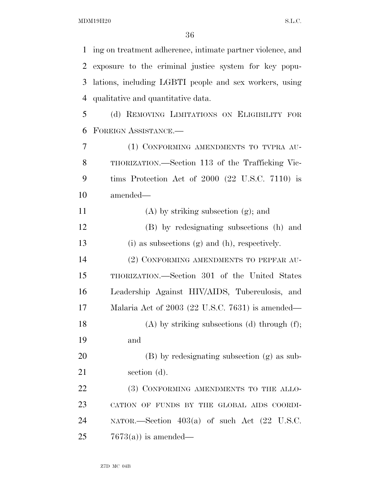ing on treatment adherence, intimate partner violence, and exposure to the criminal justice system for key popu- lations, including LGBTI people and sex workers, using qualitative and quantitative data. (d) REMOVING LIMITATIONS ON ELIGIBILITY FOR FOREIGN ASSISTANCE.— (1) CONFORMING AMENDMENTS TO TVPRA AU- THORIZATION.—Section 113 of the Trafficking Vic- tims Protection Act of 2000 (22 U.S.C. 7110) is amended— (A) by striking subsection (g); and (B) by redesignating subsections (h) and (i) as subsections (g) and (h), respectively. (2) CONFORMING AMENDMENTS TO PEPFAR AU- THORIZATION.—Section 301 of the United States Leadership Against HIV/AIDS, Tuberculosis, and Malaria Act of 2003 (22 U.S.C. 7631) is amended— 18 (A) by striking subsections (d) through  $(f)$ ; and (B) by redesignating subsection (g) as sub-21 section (d). 22 (3) CONFORMING AMENDMENTS TO THE ALLO- CATION OF FUNDS BY THE GLOBAL AIDS COORDI- NATOR.—Section 403(a) of such Act (22 U.S.C.  $25 \t 7673(a)$  is amended—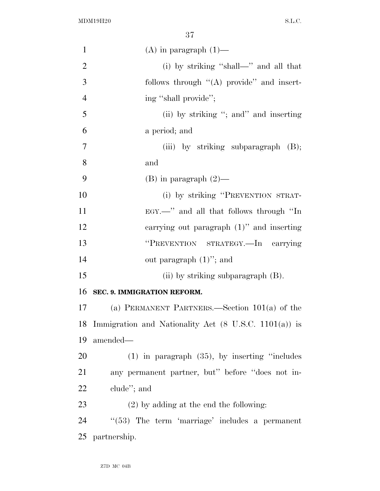| $\mathbf{1}$   | $(A)$ in paragraph $(1)$ —                               |
|----------------|----------------------------------------------------------|
| $\overline{2}$ | (i) by striking "shall—" and all that                    |
| 3              | follows through $\lq (A)$ provide" and insert-           |
| $\overline{4}$ | ing "shall provide";                                     |
| 5              | (ii) by striking "; and inserting                        |
| 6              | a period; and                                            |
| $\tau$         | (iii) by striking subparagraph (B);                      |
| 8              | and                                                      |
| 9              | $(B)$ in paragraph $(2)$ —                               |
| 10             | (i) by striking "PREVENTION STRAT-                       |
| 11             | EGY.—" and all that follows through "In                  |
| 12             | carrying out paragraph $(1)$ " and inserting             |
| 13             | "PREVENTION STRATEGY.-In carrying                        |
| 14             | out paragraph $(1)$ "; and                               |
| 15             | (ii) by striking subparagraph $(B)$ .                    |
| 16             | SEC. 9. IMMIGRATION REFORM.                              |
| 17             | (a) PERMANENT PARTNERS.—Section $101(a)$ of the          |
|                | 18 Immigration and Nationality Act (8 U.S.C. 1101(a)) is |
| 19             | amended-                                                 |
| 20             | $(1)$ in paragraph $(35)$ , by inserting "includes"      |
| 21             | any permanent partner, but" before "does not in-         |
| 22             | clude"; and                                              |
| 23             | $(2)$ by adding at the end the following:                |
| 24             | $"$ (53) The term 'marriage' includes a permanent        |
| 25             | partnership.                                             |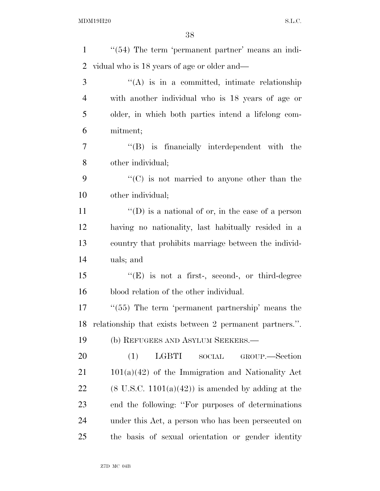| $\mathbf{1}$   | $\lq(54)$ The term 'permanent partner' means an indi-         |
|----------------|---------------------------------------------------------------|
| $\overline{2}$ | vidual who is 18 years of age or older and—                   |
| 3              | "(A) is in a committed, intimate relationship                 |
| 4              | with another individual who is 18 years of age or             |
| 5              | older, in which both parties intend a lifelong com-           |
| 6              | mitment;                                                      |
| 7              | $\lq\lq$ is financially interdependent with the               |
| 8              | other individual;                                             |
| 9              | $\cdot\cdot$ (C) is not married to anyone other than the      |
| 10             | other individual;                                             |
| 11             | $\lq\lq$ (D) is a national of or, in the case of a person     |
| 12             | having no nationality, last habitually resided in a           |
| 13             | country that prohibits marriage between the individ-          |
| 14             | uals; and                                                     |
| 15             | $\lq\lq(E)$ is not a first-, second-, or third-degree         |
| 16             | blood relation of the other individual.                       |
| 17             | $\cdot\cdot$ (55) The term 'permanent partnership' means the  |
| 18             | relationship that exists between 2 permanent partners.".      |
| 19             | (b) REFUGEES AND ASYLUM SEEKERS.—                             |
| 20             | (1)<br>LGBTI<br>$\operatorname{SOCIAL}$<br>GROUP.—Section     |
| 21             | $101(a)(42)$ of the Immigration and Nationality Act           |
| 22             | $(8 \text{ U.S.C. } 1101(a)(42))$ is amended by adding at the |
| 23             | end the following: "For purposes of determinations"           |
| 24             | under this Act, a person who has been persecuted on           |
| 25             | the basis of sexual orientation or gender identity            |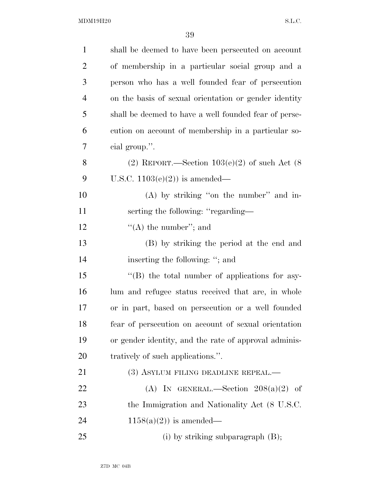| $\mathbf{1}$   | shall be deemed to have been persecuted on account    |
|----------------|-------------------------------------------------------|
| $\overline{2}$ | of membership in a particular social group and a      |
| 3              | person who has a well founded fear of persecution     |
| $\overline{4}$ | on the basis of sexual orientation or gender identity |
| 5              | shall be deemed to have a well founded fear of perse- |
| 6              | cution on account of membership in a particular so-   |
| 7              | cial group.".                                         |
| 8              | (2) REPORT.—Section $103(e)(2)$ of such Act (8)       |
| 9              | U.S.C. $1103(e)(2)$ is amended—                       |
| 10             | $(A)$ by striking "on the number" and in-             |
| 11             | serting the following: "regarding-                    |
| 12             | "(A) the number"; and                                 |
| 13             | (B) by striking the period at the end and             |
| 14             | inserting the following: "; and                       |
| 15             | "(B) the total number of applications for asy-        |
| 16             | lum and refugee status received that are, in whole    |
| 17             | or in part, based on persecution or a well founded    |
| 18             | fear of persecution on account of sexual orientation  |
| 19             | or gender identity, and the rate of approval adminis- |
| <b>20</b>      | tratively of such applications.".                     |
| 21             | (3) ASYLUM FILING DEADLINE REPEAL.—                   |
| 22             | (A) IN GENERAL.—Section $208(a)(2)$ of                |
| 23             | the Immigration and Nationality Act (8 U.S.C.         |
| 24             | $1158(a)(2)$ is amended—                              |
| 25             | (i) by striking subparagraph $(B)$ ;                  |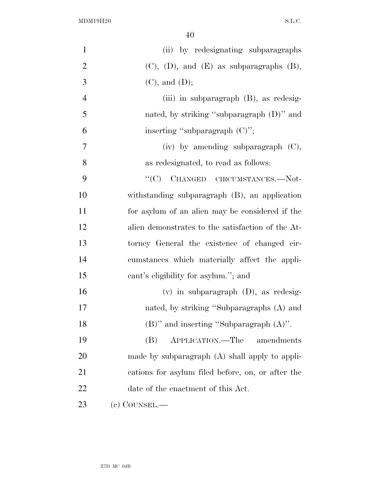| $\mathbf{1}$   | (ii) by redesignating subparagraphs                |
|----------------|----------------------------------------------------|
| $\overline{2}$ | $(C)$ , $(D)$ , and $(E)$ as subparagraphs $(B)$ , |
| 3              | $(C)$ , and $(D)$ ;                                |
| $\overline{4}$ | (iii) in subparagraph $(B)$ , as redesig-          |
| 5              | nated, by striking "subparagraph $(D)$ " and       |
| 6              | inserting "subparagraph $(C)$ ";                   |
| $\tau$         | $(iv)$ by amending subparagraph $(C)$ ,            |
| 8              | as redesignated, to read as follows:               |
| 9              | "(C) CHANGED CIRCUMSTANCES.-Not-                   |
| 10             | withstanding subparagraph (B), an application      |
| 11             | for asylum of an alien may be considered if the    |
| 12             | alien demonstrates to the satisfaction of the At-  |
| 13             | torney General the existence of changed cir-       |
| 14             | cumstances which materially affect the appli-      |
| 15             | cant's eligibility for asylum."; and               |
| 16             | $(v)$ in subparagraph $(D)$ , as redesig-          |
| 17             | nated, by striking "Subparagraphs (A) and          |
| 18             | $(B)$ " and inserting "Subparagraph $(A)$ ".       |
| 19             | APPLICATION.—The amendments<br>(B)                 |
| 20             | made by subparagraph $(A)$ shall apply to appli-   |
| 21             | cations for asylum filed before, on, or after the  |
| 22             | date of the enactment of this Act.                 |
| 23             | (c) COUNSEL.—                                      |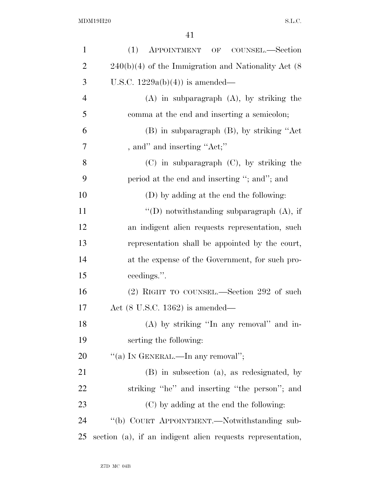| $\mathbf{1}$   | (1)<br>APPOINTMENT OF COUNSEL.-Section                     |
|----------------|------------------------------------------------------------|
| $\overline{2}$ | $240(b)(4)$ of the Immigration and Nationality Act $(8)$   |
| 3              | U.S.C. $1229a(b)(4)$ is amended—                           |
| $\overline{4}$ | $(A)$ in subparagraph $(A)$ , by striking the              |
| 5              | comma at the end and inserting a semicolon;                |
| 6              | (B) in subparagraph (B), by striking "Act                  |
| 7              | , and" and inserting "Act;"                                |
| 8              | $(C)$ in subparagraph $(C)$ , by striking the              |
| 9              | period at the end and inserting "; and"; and               |
| 10             | (D) by adding at the end the following:                    |
| 11             | "(D) notwithstanding subparagraph $(A)$ , if               |
| 12             | an indigent alien requests representation, such            |
| 13             | representation shall be appointed by the court,            |
| 14             | at the expense of the Government, for such pro-            |
| 15             | ceedings.".                                                |
| 16             | (2) RIGHT TO COUNSEL.—Section 292 of such                  |
| 17             | Act $(8 \text{ U.S.C. } 1362)$ is amended—                 |
| 18             | (A) by striking "In any removal" and in-                   |
| 19             | serting the following:                                     |
| 20             | "(a) IN GENERAL.—In any removal";                          |
| 21             | (B) in subsection (a), as redesignated, by                 |
| 22             | striking "he" and inserting "the person"; and              |
| 23             | (C) by adding at the end the following:                    |
| 24             | "(b) COURT APPOINTMENT.—Notwithstanding sub-               |
| 25             | section (a), if an indigent alien requests representation, |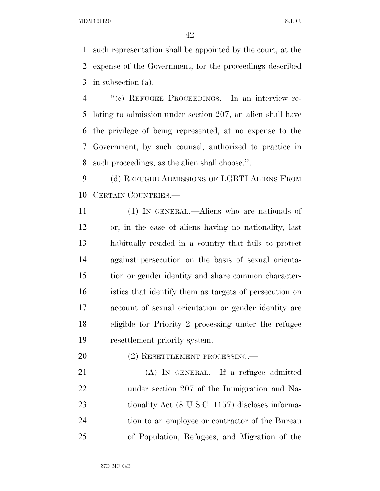such representation shall be appointed by the court, at the expense of the Government, for the proceedings described in subsection (a).

 ''(c) REFUGEE PROCEEDINGS.—In an interview re- lating to admission under section 207, an alien shall have the privilege of being represented, at no expense to the Government, by such counsel, authorized to practice in such proceedings, as the alien shall choose.''.

 (d) REFUGEE ADMISSIONS OF LGBTI ALIENS FROM CERTAIN COUNTRIES.—

 (1) IN GENERAL.—Aliens who are nationals of or, in the case of aliens having no nationality, last habitually resided in a country that fails to protect against persecution on the basis of sexual orienta- tion or gender identity and share common character- istics that identify them as targets of persecution on account of sexual orientation or gender identity are eligible for Priority 2 processing under the refugee resettlement priority system.

20 (2) RESETTLEMENT PROCESSING.

 (A) IN GENERAL.—If a refugee admitted under section 207 of the Immigration and Na-23 tionality Act (8 U.S.C. 1157) discloses informa- tion to an employee or contractor of the Bureau of Population, Refugees, and Migration of the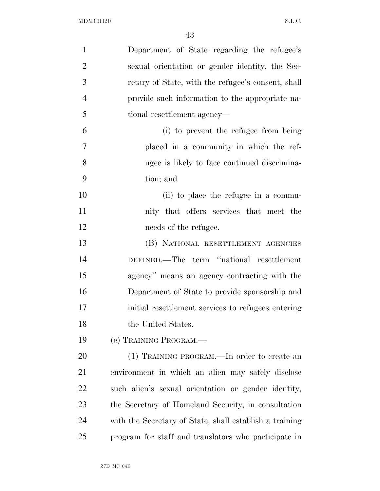| $\mathbf{1}$   | Department of State regarding the refugee's             |
|----------------|---------------------------------------------------------|
| $\overline{2}$ | sexual orientation or gender identity, the Sec-         |
| 3              | retary of State, with the refugee's consent, shall      |
| $\overline{4}$ | provide such information to the appropriate na-         |
| 5              | tional resettlement agency—                             |
| 6              | (i) to prevent the refugee from being                   |
| 7              | placed in a community in which the ref-                 |
| 8              | ugee is likely to face continued discrimina-            |
| 9              | tion; and                                               |
| 10             | (ii) to place the refugee in a commu-                   |
| 11             | nity that offers services that meet the                 |
| 12             | needs of the refugee.                                   |
| 13             | (B) NATIONAL RESETTLEMENT AGENCIES                      |
| 14             | DEFINED.—The term "national resettlement                |
| 15             | agency" means an agency contracting with the            |
| 16             | Department of State to provide sponsorship and          |
| 17             | initial resettlement services to refugees entering      |
| 18             | the United States.                                      |
| 19             | (e) TRAINING PROGRAM.—                                  |
| 20             | (1) TRAINING PROGRAM.—In order to create an             |
| 21             | environment in which an alien may safely disclose       |
| 22             | such alien's sexual orientation or gender identity,     |
| 23             | the Secretary of Homeland Security, in consultation     |
| 24             | with the Secretary of State, shall establish a training |
| 25             | program for staff and translators who participate in    |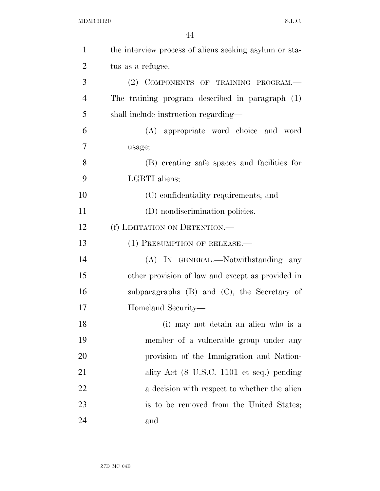| $\mathbf{1}$   | the interview process of aliens seeking asylum or sta- |
|----------------|--------------------------------------------------------|
| $\overline{2}$ | tus as a refugee.                                      |
| 3              | (2) COMPONENTS OF TRAINING PROGRAM.                    |
| $\overline{4}$ | The training program described in paragraph (1)        |
| 5              | shall include instruction regarding—                   |
| 6              | (A) appropriate word choice and word                   |
| 7              | usage;                                                 |
| 8              | (B) creating safe spaces and facilities for            |
| 9              | LGBTI aliens;                                          |
| 10             | (C) confidentiality requirements; and                  |
| 11             | (D) nondiscrimination policies.                        |
| 12             | (f) LIMITATION ON DETENTION.                           |
| 13             | $(1)$ PRESUMPTION OF RELEASE.—                         |
| 14             | (A) IN GENERAL.—Notwithstanding any                    |
| 15             | other provision of law and except as provided in       |
| 16             | subparagraphs (B) and (C), the Secretary of            |
| 17             | Homeland Security—                                     |
| 18             | (i) may not detain an alien who is a                   |
| 19             | member of a vulnerable group under any                 |
| 20             | provision of the Immigration and Nation-               |
| 21             | ality Act (8 U.S.C. 1101 et seq.) pending              |
| 22             | a decision with respect to whether the alien           |
| 23             | is to be removed from the United States;               |
| 24             | and                                                    |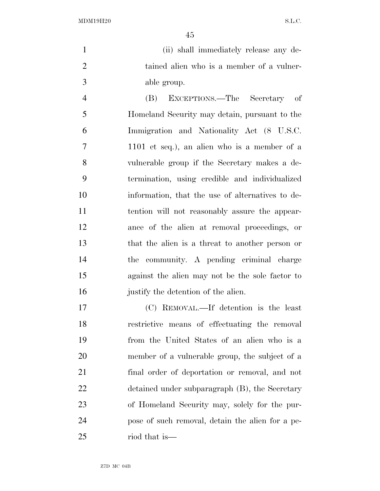|               | (ii) shall immediately release any de-    |
|---------------|-------------------------------------------|
|               | tained alien who is a member of a vulner- |
| $\mathcal{R}$ | able group.                               |

 (B) EXCEPTIONS.—The Secretary of Homeland Security may detain, pursuant to the Immigration and Nationality Act (8 U.S.C. 1101 et seq.), an alien who is a member of a vulnerable group if the Secretary makes a de- termination, using credible and individualized information, that the use of alternatives to de- tention will not reasonably assure the appear- ance of the alien at removal proceedings, or that the alien is a threat to another person or the community. A pending criminal charge against the alien may not be the sole factor to justify the detention of the alien.

 (C) REMOVAL.—If detention is the least restrictive means of effectuating the removal from the United States of an alien who is a member of a vulnerable group, the subject of a final order of deportation or removal, and not detained under subparagraph (B), the Secretary of Homeland Security may, solely for the pur- pose of such removal, detain the alien for a pe-riod that is—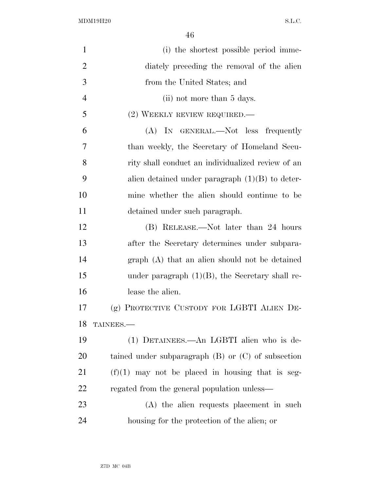| $\mathbf{1}$   | (i) the shortest possible period imme-                 |
|----------------|--------------------------------------------------------|
| $\overline{2}$ | diately preceding the removal of the alien             |
| 3              | from the United States; and                            |
| $\overline{4}$ | (ii) not more than 5 days.                             |
| 5              | $(2)$ WEEKLY REVIEW REQUIRED.—                         |
| 6              | (A) IN GENERAL.—Not less frequently                    |
| 7              | than weekly, the Secretary of Homeland Secu-           |
| 8              | rity shall conduct an individualized review of an      |
| 9              | alien detained under paragraph $(1)(B)$ to deter-      |
| 10             | mine whether the alien should continue to be           |
| 11             | detained under such paragraph.                         |
| 12             | (B) RELEASE.—Not later than 24 hours                   |
| 13             | after the Secretary determines under subpara-          |
| 14             | graph (A) that an alien should not be detained         |
| 15             | under paragraph $(1)(B)$ , the Secretary shall re-     |
| 16             | lease the alien.                                       |
| 17             | (g) PROTECTIVE CUSTODY FOR LGBTI ALIEN DE-             |
| 18             | TAINEES.                                               |
| 19             | (1) DETAINEES.—An LGBTI alien who is de-               |
| 20             | tained under subparagraph $(B)$ or $(C)$ of subsection |
| 21             | $(f)(1)$ may not be placed in housing that is seg-     |
| 22             | regated from the general population unless—            |
| 23             | (A) the alien requests placement in such               |
| 24             | housing for the protection of the alien; or            |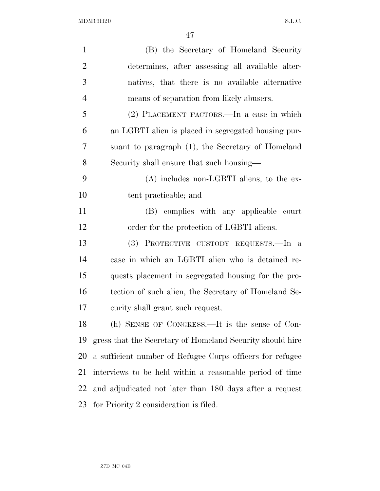| $\mathbf{1}$   | (B) the Secretary of Homeland Security                    |
|----------------|-----------------------------------------------------------|
| $\overline{2}$ | determines, after assessing all available alter-          |
| 3              | natives, that there is no available alternative           |
| $\overline{4}$ | means of separation from likely abusers.                  |
| 5              | (2) PLACEMENT FACTORS.—In a case in which                 |
| 6              | an LGBTI alien is placed in segregated housing pur-       |
| 7              | suant to paragraph (1), the Secretary of Homeland         |
| 8              | Security shall ensure that such housing—                  |
| 9              | $(A)$ includes non-LGBTI aliens, to the ex-               |
| 10             | tent practicable; and                                     |
| 11             | (B) complies with any applicable court                    |
| 12             | order for the protection of LGBTI aliens.                 |
| 13             | PROTECTIVE CUSTODY REQUESTS.-In a<br>(3)                  |
| 14             | case in which an LGBTI alien who is detained re-          |
| 15             | quests placement in segregated housing for the pro-       |
| 16             | tection of such alien, the Secretary of Homeland Se-      |
| 17             | curity shall grant such request.                          |
| 18             | (h) SENSE OF CONGRESS.—It is the sense of Con-            |
| 19             | gress that the Secretary of Homeland Security should hire |
| 20             | a sufficient number of Refugee Corps officers for refugee |
| 21             | interviews to be held within a reasonable period of time  |
| 22             | and adjudicated not later than 180 days after a request   |
| 23             | for Priority 2 consideration is filed.                    |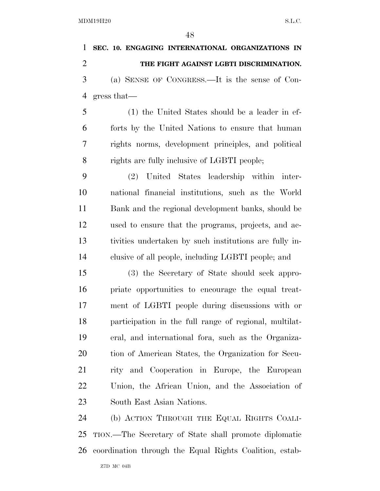Z7D MC 04B **SEC. 10. ENGAGING INTERNATIONAL ORGANIZATIONS IN THE FIGHT AGAINST LGBTI DISCRIMINATION.**  (a) SENSE OF CONGRESS.—It is the sense of Con- gress that— (1) the United States should be a leader in ef- forts by the United Nations to ensure that human rights norms, development principles, and political rights are fully inclusive of LGBTI people; (2) United States leadership within inter- national financial institutions, such as the World Bank and the regional development banks, should be used to ensure that the programs, projects, and ac- tivities undertaken by such institutions are fully in- clusive of all people, including LGBTI people; and (3) the Secretary of State should seek appro- priate opportunities to encourage the equal treat- ment of LGBTI people during discussions with or participation in the full range of regional, multilat- eral, and international fora, such as the Organiza- tion of American States, the Organization for Secu- rity and Cooperation in Europe, the European Union, the African Union, and the Association of South East Asian Nations. (b) ACTION THROUGH THE EQUAL RIGHTS COALI- TION.—The Secretary of State shall promote diplomatic coordination through the Equal Rights Coalition, estab-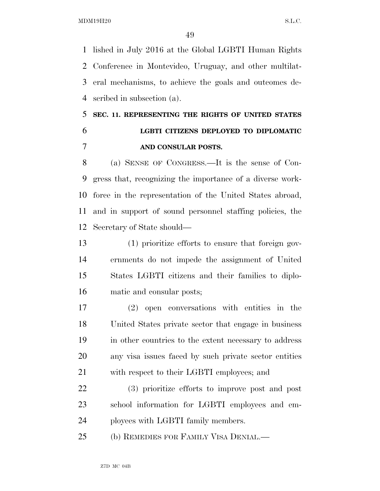lished in July 2016 at the Global LGBTI Human Rights Conference in Montevideo, Uruguay, and other multilat- eral mechanisms, to achieve the goals and outcomes de-scribed in subsection (a).

# **SEC. 11. REPRESENTING THE RIGHTS OF UNITED STATES LGBTI CITIZENS DEPLOYED TO DIPLOMATIC AND CONSULAR POSTS.**

 (a) SENSE OF CONGRESS.—It is the sense of Con- gress that, recognizing the importance of a diverse work- force in the representation of the United States abroad, and in support of sound personnel staffing policies, the Secretary of State should—

 (1) prioritize efforts to ensure that foreign gov- ernments do not impede the assignment of United States LGBTI citizens and their families to diplo-matic and consular posts;

 (2) open conversations with entities in the United States private sector that engage in business in other countries to the extent necessary to address any visa issues faced by such private sector entities with respect to their LGBTI employees; and

 (3) prioritize efforts to improve post and post school information for LGBTI employees and em-ployees with LGBTI family members.

(b) REMEDIES FOR FAMILY VISA DENIAL.—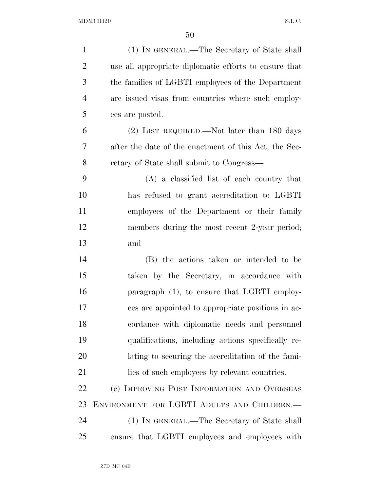| $\mathbf{1}$   | (1) IN GENERAL.—The Secretary of State shall          |
|----------------|-------------------------------------------------------|
| $\overline{2}$ | use all appropriate diplomatic efforts to ensure that |
| 3              | the families of LGBTI employees of the Department     |
| $\overline{4}$ | are issued visas from countries where such employ-    |
| 5              | ees are posted.                                       |
| 6              | $(2)$ LIST REQUIRED.—Not later than 180 days          |
| 7              | after the date of the enactment of this Act, the Sec- |
| 8              | retary of State shall submit to Congress—             |
| 9              | $(A)$ a classified list of each country that          |
| 10             | has refused to grant accreditation to LGBTI           |
| 11             | employees of the Department or their family           |
| 12             | members during the most recent 2-year period;         |
| 13             | and                                                   |
| 14             | (B) the actions taken or intended to be               |
| 15             | taken by the Secretary, in accordance with            |
| 16             | paragraph (1), to ensure that LGBTI employ-           |
| 17             | ees are appointed to appropriate positions in ac-     |
| 18             | cordance with diplomatic needs and personnel          |
| 19             | qualifications, including actions specifically re-    |
| 20             | lating to securing the accreditation of the fami-     |
| 21             | lies of such employees by relevant countries.         |
| 22             | (c) IMPROVING POST INFORMATION AND OVERSEAS           |
| 23             | ENVIRONMENT FOR LGBTI ADULTS AND CHILDREN.-           |
| 24             | (1) IN GENERAL.—The Secretary of State shall          |
| 25             | ensure that LGBTI employees and employees with        |